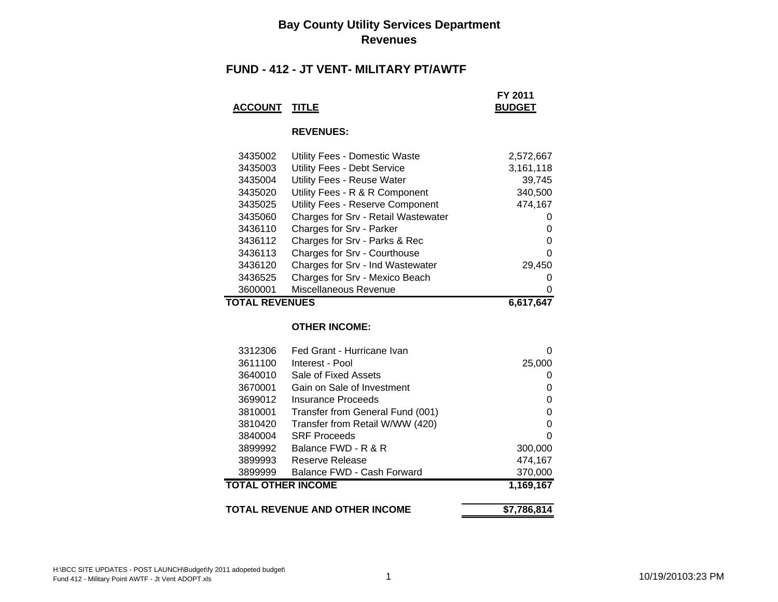#### **Bay County Utility Services Department Revenues**

#### **FUND - 412 - JT VENT- MILITARY PT/AWTF**

|                      | FY 2011       |
|----------------------|---------------|
| <b>ACCOUNT TITLE</b> | <b>BUDGET</b> |

#### **REVENUES:**

| 3435002               | Utility Fees - Domestic Waste       | 2,572,667    |
|-----------------------|-------------------------------------|--------------|
| 3435003               | Utility Fees - Debt Service         | 3,161,118    |
| 3435004               | <b>Utility Fees - Reuse Water</b>   | 39,745       |
| 3435020               | Utility Fees - R & R Component      | 340,500      |
| 3435025               | Utility Fees - Reserve Component    | 474,167      |
| 3435060               | Charges for Srv - Retail Wastewater | $\mathbf{0}$ |
| 3436110               | Charges for Srv - Parker            | 0            |
| 3436112               | Charges for Srv - Parks & Rec       | 0            |
| 3436113               | Charges for Srv - Courthouse        | 0            |
| 3436120               | Charges for Srv - Ind Wastewater    | 29,450       |
| 3436525               | Charges for Srv - Mexico Beach      | 0            |
| 3600001               | Miscellaneous Revenue               | 0            |
| <b>TOTAL REVENUES</b> |                                     | 6.617.647    |

#### **OTHER INCOME:**

| TOTAL REVENUE AND OTHER INCOME |                                  | \$7,786,814            |
|--------------------------------|----------------------------------|------------------------|
| TOTAL OTHER INCOME             |                                  | $\overline{1,169,167}$ |
| 3899999                        | Balance FWD - Cash Forward       | 370,000                |
| 3899993                        | Reserve Release                  | 474,167                |
| 3899992                        | Balance FWD - R & R              | 300,000                |
| 3840004                        | <b>SRF Proceeds</b>              | 0                      |
| 3810420                        | Transfer from Retail W/WW (420)  | 0                      |
| 3810001                        | Transfer from General Fund (001) | 0                      |
| 3699012                        | Insurance Proceeds               | 0                      |
| 3670001                        | Gain on Sale of Investment       | 0                      |
| 3640010                        | Sale of Fixed Assets             | 0                      |
| 3611100                        | Interest - Pool                  | 25,000                 |
| 3312306                        | Fed Grant - Hurricane Ivan       | 0                      |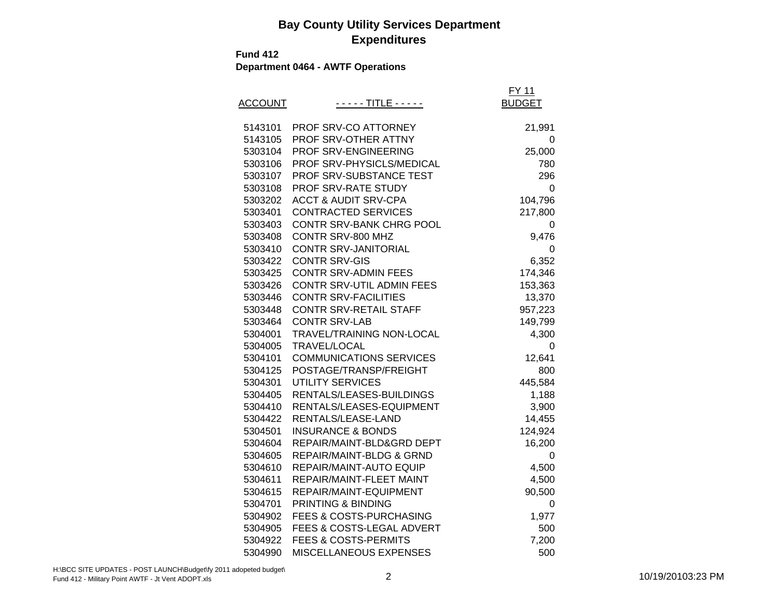**Fund 412**

**Department 0464 - AWTF Operations**

|                |                                     | <b>FY 11</b>  |
|----------------|-------------------------------------|---------------|
| <b>ACCOUNT</b> | - - <u>- - - TITLE - - - - -</u>    | <b>BUDGET</b> |
|                |                                     |               |
| 5143101        | PROF SRV-CO ATTORNEY                | 21,991        |
| 5143105        | PROF SRV-OTHER ATTNY                | 0             |
| 5303104        | PROF SRV-ENGINEERING                | 25,000        |
| 5303106        | PROF SRV-PHYSICLS/MEDICAL           | 780           |
| 5303107        | PROF SRV-SUBSTANCE TEST             | 296           |
| 5303108        | PROF SRV-RATE STUDY                 | 0             |
| 5303202        | <b>ACCT &amp; AUDIT SRV-CPA</b>     | 104,796       |
| 5303401        | <b>CONTRACTED SERVICES</b>          | 217,800       |
| 5303403        | CONTR SRV-BANK CHRG POOL            | 0             |
| 5303408        | CONTR SRV-800 MHZ                   | 9,476         |
| 5303410        | CONTR SRV-JANITORIAL                | 0             |
| 5303422        | <b>CONTR SRV-GIS</b>                | 6,352         |
| 5303425        | <b>CONTR SRV-ADMIN FEES</b>         | 174,346       |
| 5303426        | CONTR SRV-UTIL ADMIN FEES           | 153,363       |
| 5303446        | <b>CONTR SRV-FACILITIES</b>         | 13,370        |
| 5303448        | <b>CONTR SRV-RETAIL STAFF</b>       | 957,223       |
| 5303464        | <b>CONTR SRV-LAB</b>                | 149,799       |
| 5304001        | TRAVEL/TRAINING NON-LOCAL           | 4,300         |
| 5304005        | TRAVEL/LOCAL                        | 0             |
| 5304101        | <b>COMMUNICATIONS SERVICES</b>      | 12,641        |
| 5304125        | POSTAGE/TRANSP/FREIGHT              | 800           |
| 5304301        | <b>UTILITY SERVICES</b>             | 445,584       |
| 5304405        | RENTALS/LEASES-BUILDINGS            | 1,188         |
| 5304410        | RENTALS/LEASES-EQUIPMENT            | 3,900         |
| 5304422        | RENTALS/LEASE-LAND                  | 14,455        |
| 5304501        | <b>INSURANCE &amp; BONDS</b>        | 124,924       |
| 5304604        | REPAIR/MAINT-BLD&GRD DEPT           | 16,200        |
| 5304605        | <b>REPAIR/MAINT-BLDG &amp; GRND</b> | 0             |
| 5304610        | REPAIR/MAINT-AUTO EQUIP             | 4,500         |
| 5304611        | REPAIR/MAINT-FLEET MAINT            | 4,500         |
| 5304615        | REPAIR/MAINT-EQUIPMENT              | 90,500        |
| 5304701        | PRINTING & BINDING                  | 0             |
| 5304902        | FEES & COSTS-PURCHASING             | 1,977         |
| 5304905        | FEES & COSTS-LEGAL ADVERT           | 500           |
| 5304922        | <b>FEES &amp; COSTS-PERMITS</b>     | 7,200         |
| 5304990        | MISCELLANEOUS EXPENSES              | 500           |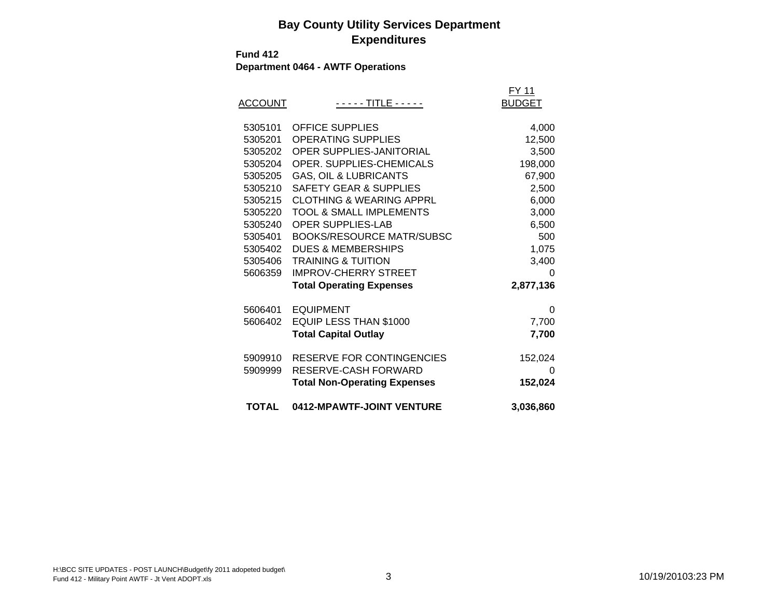**Fund 412**

**Department 0464 - AWTF Operations**

| <b>ACCOUNT</b>                                                                                                        | - - - - - TITLE - - - - -                                                                                                                                                                                                                                                                                                                                                        | FY 11<br><b>BUDGET</b>                                                                            |
|-----------------------------------------------------------------------------------------------------------------------|----------------------------------------------------------------------------------------------------------------------------------------------------------------------------------------------------------------------------------------------------------------------------------------------------------------------------------------------------------------------------------|---------------------------------------------------------------------------------------------------|
| 5305101<br>5305201<br>5305202<br>5305204<br>5305205<br>5305210<br>5305215<br>5305220<br>5305240<br>5305401<br>5305402 | <b>OFFICE SUPPLIES</b><br><b>OPERATING SUPPLIES</b><br><b>OPER SUPPLIES-JANITORIAL</b><br><b>OPER. SUPPLIES-CHEMICALS</b><br><b>GAS, OIL &amp; LUBRICANTS</b><br><b>SAFETY GEAR &amp; SUPPLIES</b><br><b>CLOTHING &amp; WEARING APPRL</b><br><b>TOOL &amp; SMALL IMPLEMENTS</b><br><b>OPER SUPPLIES-LAB</b><br><b>BOOKS/RESOURCE MATR/SUBSC</b><br><b>DUES &amp; MEMBERSHIPS</b> | 4,000<br>12,500<br>3,500<br>198,000<br>67,900<br>2,500<br>6,000<br>3,000<br>6,500<br>500<br>1,075 |
| 5305406<br>5606359<br>5606401                                                                                         | <b>TRAINING &amp; TUITION</b><br><b>IMPROV-CHERRY STREET</b><br><b>Total Operating Expenses</b><br><b>EQUIPMENT</b>                                                                                                                                                                                                                                                              | 3,400<br>O<br>2,877,136<br>0                                                                      |
| 5606402                                                                                                               | EQUIP LESS THAN \$1000<br><b>Total Capital Outlay</b>                                                                                                                                                                                                                                                                                                                            | 7,700<br>7,700                                                                                    |
| 5909910<br>5909999                                                                                                    | RESERVE FOR CONTINGENCIES<br>RESERVE-CASH FORWARD<br><b>Total Non-Operating Expenses</b>                                                                                                                                                                                                                                                                                         | 152,024<br>ი<br>152,024                                                                           |
| <b>TOTAL</b>                                                                                                          | 0412-MPAWTF-JOINT VENTURE                                                                                                                                                                                                                                                                                                                                                        | 3,036,860                                                                                         |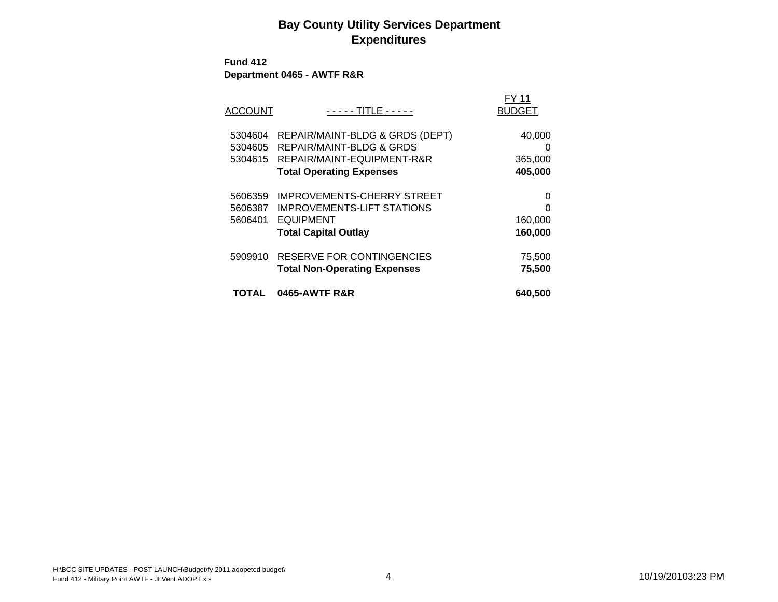**Fund 412 Department 0465 - AWTF R&R**

| ACCOUNT                       | - - - - - TITLE - - - - -                                                                                                    | FY 11<br><b>BUDGET</b>            |
|-------------------------------|------------------------------------------------------------------------------------------------------------------------------|-----------------------------------|
| 5304604<br>5304605<br>5304615 | REPAIR/MAINT-BLDG & GRDS (DEPT)<br>REPAIR/MAINT-BLDG & GRDS<br>REPAIR/MAINT-EQUIPMENT-R&R<br><b>Total Operating Expenses</b> | 40,000<br>0<br>365,000<br>405,000 |
| 5606359<br>5606387<br>5606401 | <b>IMPROVEMENTS-CHERRY STREET</b><br><b>IMPROVEMENTS-LIFT STATIONS</b><br><b>EQUIPMENT</b><br><b>Total Capital Outlay</b>    | 0<br>O<br>160,000<br>160,000      |
| 5909910                       | RESERVE FOR CONTINGENCIES<br><b>Total Non-Operating Expenses</b>                                                             | 75,500<br>75,500                  |
| TOTAL                         | 0465-AWTF R&R                                                                                                                | 640,500                           |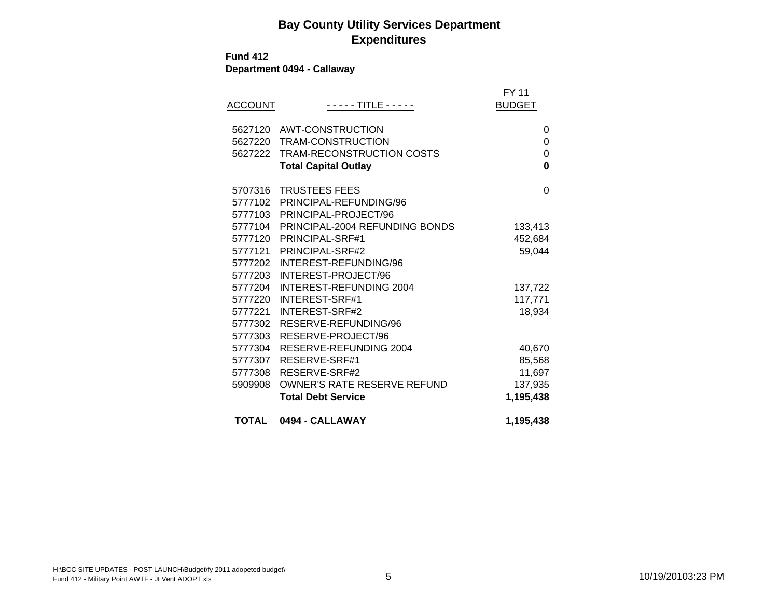**Fund 412**

**Department 0494 - Callaway**

| <b>ACCOUNT</b> | - - - - - TITLE - - - - -          | FY 11<br><b>BUDGET</b> |
|----------------|------------------------------------|------------------------|
| 5627120        | AWT-CONSTRUCTION                   | 0                      |
| 5627220        | TRAM-CONSTRUCTION                  | 0                      |
| 5627222        | TRAM-RECONSTRUCTION COSTS          | $\mathbf{0}$           |
|                | <b>Total Capital Outlay</b>        | 0                      |
| 5707316        | <b>TRUSTEES FEES</b>               | $\Omega$               |
| 5777102        | PRINCIPAL-REFUNDING/96             |                        |
| 5777103        | PRINCIPAL-PROJECT/96               |                        |
| 5777104        | PRINCIPAL-2004 REFUNDING BONDS     | 133,413                |
| 5777120        | PRINCIPAL-SRF#1                    | 452,684                |
| 5777121        | PRINCIPAL-SRF#2                    | 59,044                 |
| 5777202        | INTEREST-REFUNDING/96              |                        |
| 5777203        | INTEREST-PROJECT/96                |                        |
| 5777204        | INTEREST-REFUNDING 2004            | 137,722                |
| 5777220        | INTEREST-SRF#1                     | 117,771                |
| 5777221        | INTEREST-SRF#2                     | 18,934                 |
| 5777302        | RESERVE-REFUNDING/96               |                        |
| 5777303        | RESERVE-PROJECT/96                 |                        |
| 5777304        | RESERVE-REFUNDING 2004             | 40,670                 |
| 5777307        | RESERVE-SRF#1                      | 85,568                 |
| 5777308        | RESERVE-SRF#2                      | 11,697                 |
| 5909908        | <b>OWNER'S RATE RESERVE REFUND</b> | 137,935                |
|                | <b>Total Debt Service</b>          | 1,195,438              |
| TOTAL          | 0494 - CALLAWAY                    | 1,195,438              |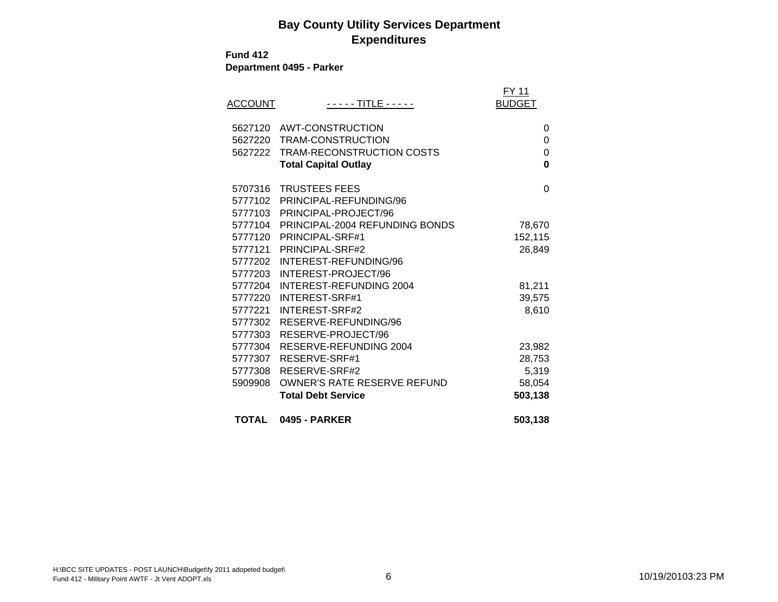#### **Fund 412**

**Department 0495 - Parker**

| <b>ACCOUNT</b> | - - - - - TITLE - - - - -      | FY 11<br><b>BUDGET</b> |
|----------------|--------------------------------|------------------------|
|                | 5627120 AWT-CONSTRUCTION       | 0                      |
| 5627220        | TRAM-CONSTRUCTION              | 0                      |
| 5627222        | TRAM-RECONSTRUCTION COSTS      | $\mathbf 0$            |
|                | <b>Total Capital Outlay</b>    | $\bf{0}$               |
| 5707316        | <b>TRUSTEES FEES</b>           | $\Omega$               |
| 5777102        | PRINCIPAL-REFUNDING/96         |                        |
|                | 5777103 PRINCIPAL-PROJECT/96   |                        |
| 5777104        | PRINCIPAL-2004 REFUNDING BONDS | 78,670                 |
| 5777120        | PRINCIPAL-SRF#1                | 152,115                |
| 5777121        | PRINCIPAL-SRF#2                | 26,849                 |
| 5777202        | INTEREST-REFUNDING/96          |                        |
| 5777203        | INTEREST-PROJECT/96            |                        |
| 5777204        | INTEREST-REFUNDING 2004        | 81,211                 |
| 5777220        | <b>INTEREST-SRF#1</b>          | 39,575                 |
| 5777221        | INTEREST-SRF#2                 | 8,610                  |
| 5777302        | RESERVE-REFUNDING/96           |                        |
| 5777303        | RESERVE-PROJECT/96             |                        |
| 5777304        | RESERVE-REFUNDING 2004         | 23,982                 |
| 5777307        | RESERVE-SRF#1                  | 28,753                 |
| 5777308        | RESERVE-SRF#2                  | 5,319                  |
| 5909908        | OWNER'S RATE RESERVE REFUND    | 58,054                 |
|                | <b>Total Debt Service</b>      | 503,138                |
| TOTAL          | <b>0495 - PARKER</b>           | 503,138                |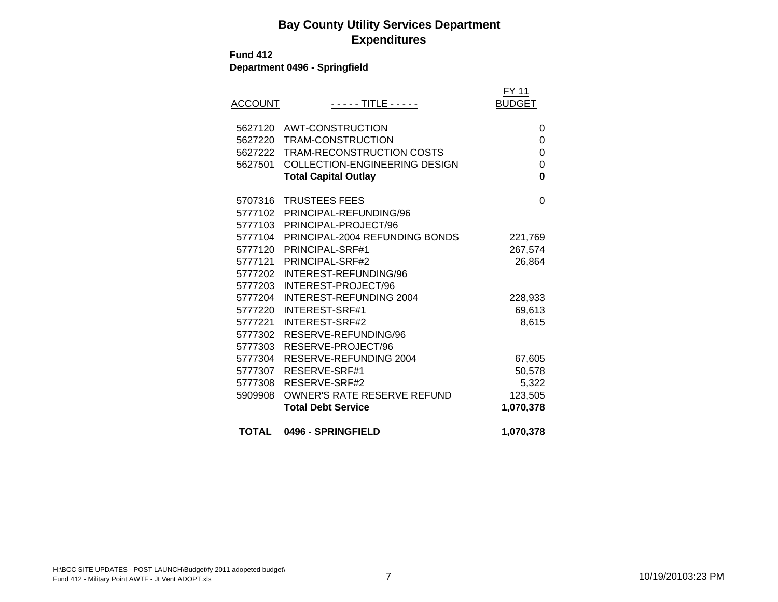**Fund 412**

**Department 0496 - Springfield**

| <b>ACCOUNT</b> | - - - - - TITLE - - - - -            | FY 11<br><b>BUDGET</b> |
|----------------|--------------------------------------|------------------------|
| 5627120        | AWT-CONSTRUCTION                     | 0                      |
| 5627220        | TRAM-CONSTRUCTION                    | $\Omega$               |
| 5627222        | <b>TRAM-RECONSTRUCTION COSTS</b>     | 0                      |
| 5627501        | <b>COLLECTION-ENGINEERING DESIGN</b> | 0                      |
|                | <b>Total Capital Outlay</b>          | 0                      |
| 5707316        | <b>TRUSTEES FEES</b>                 | $\Omega$               |
| 5777102        | PRINCIPAL-REFUNDING/96               |                        |
| 5777103        | PRINCIPAL-PROJECT/96                 |                        |
| 5777104        | PRINCIPAL-2004 REFUNDING BONDS       | 221,769                |
| 5777120        | PRINCIPAL-SRF#1                      | 267,574                |
| 5777121        | PRINCIPAL-SRF#2                      | 26,864                 |
| 5777202        | INTEREST-REFUNDING/96                |                        |
| 5777203        | INTEREST-PROJECT/96                  |                        |
| 5777204        | <b>INTEREST-REFUNDING 2004</b>       | 228,933                |
| 5777220        | INTEREST-SRF#1                       | 69,613                 |
| 5777221        | INTEREST-SRF#2                       | 8,615                  |
| 5777302        | RESERVE-REFUNDING/96                 |                        |
| 5777303        | RESERVE-PROJECT/96                   |                        |
| 5777304        | RESERVE-REFUNDING 2004               | 67,605                 |
| 5777307        | RESERVE-SRF#1                        | 50,578                 |
| 5777308        | RESERVE-SRF#2                        | 5,322                  |
| 5909908        | <b>OWNER'S RATE RESERVE REFUND</b>   | 123,505                |
|                | <b>Total Debt Service</b>            | 1,070,378              |
| <b>TOTAL</b>   | 0496 - SPRINGFIELD                   | 1,070,378              |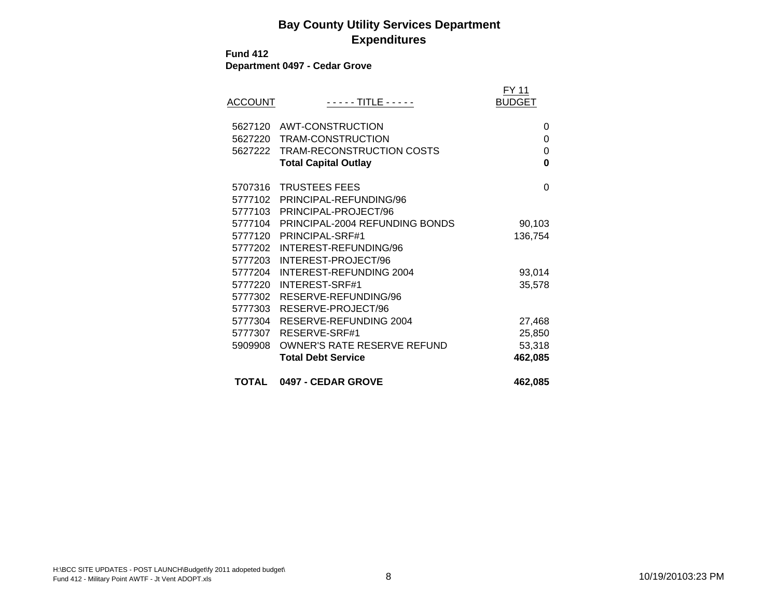**Fund 412Department 0497 - Cedar Grove**

| <b>ACCOUNT</b> | <u> - - - - TITLE - - - - -</u>    | FY 11<br><b>BUDGET</b> |
|----------------|------------------------------------|------------------------|
| 5627120        | AWT-CONSTRUCTION                   | 0                      |
| 5627220        | TRAM-CONSTRUCTION                  | 0                      |
| 5627222        | TRAM-RECONSTRUCTION COSTS          | 0                      |
|                | <b>Total Capital Outlay</b>        | 0                      |
| 5707316        | <b>TRUSTEES FEES</b>               | 0                      |
| 5777102        | PRINCIPAL-REFUNDING/96             |                        |
| 5777103        | PRINCIPAL-PROJECT/96               |                        |
| 5777104        | PRINCIPAL-2004 REFUNDING BONDS     | 90,103                 |
| 5777120        | PRINCIPAL-SRF#1                    | 136,754                |
| 5777202        | INTEREST-REFUNDING/96              |                        |
| 5777203        | INTEREST-PROJECT/96                |                        |
| 5777204        | INTEREST-REFUNDING 2004            | 93,014                 |
| 5777220        | INTEREST-SRF#1                     | 35,578                 |
| 5777302        | RESERVE-REFUNDING/96               |                        |
| 5777303        | RESERVE-PROJECT/96                 |                        |
| 5777304        | RESERVE-REFUNDING 2004             | 27,468                 |
| 5777307        | RESERVE-SRF#1                      | 25,850                 |
| 5909908        | <b>OWNER'S RATE RESERVE REFUND</b> | 53,318                 |
|                | <b>Total Debt Service</b>          | 462,085                |
| TOTAL          | 0497 - CEDAR GROVE                 | 462,085                |